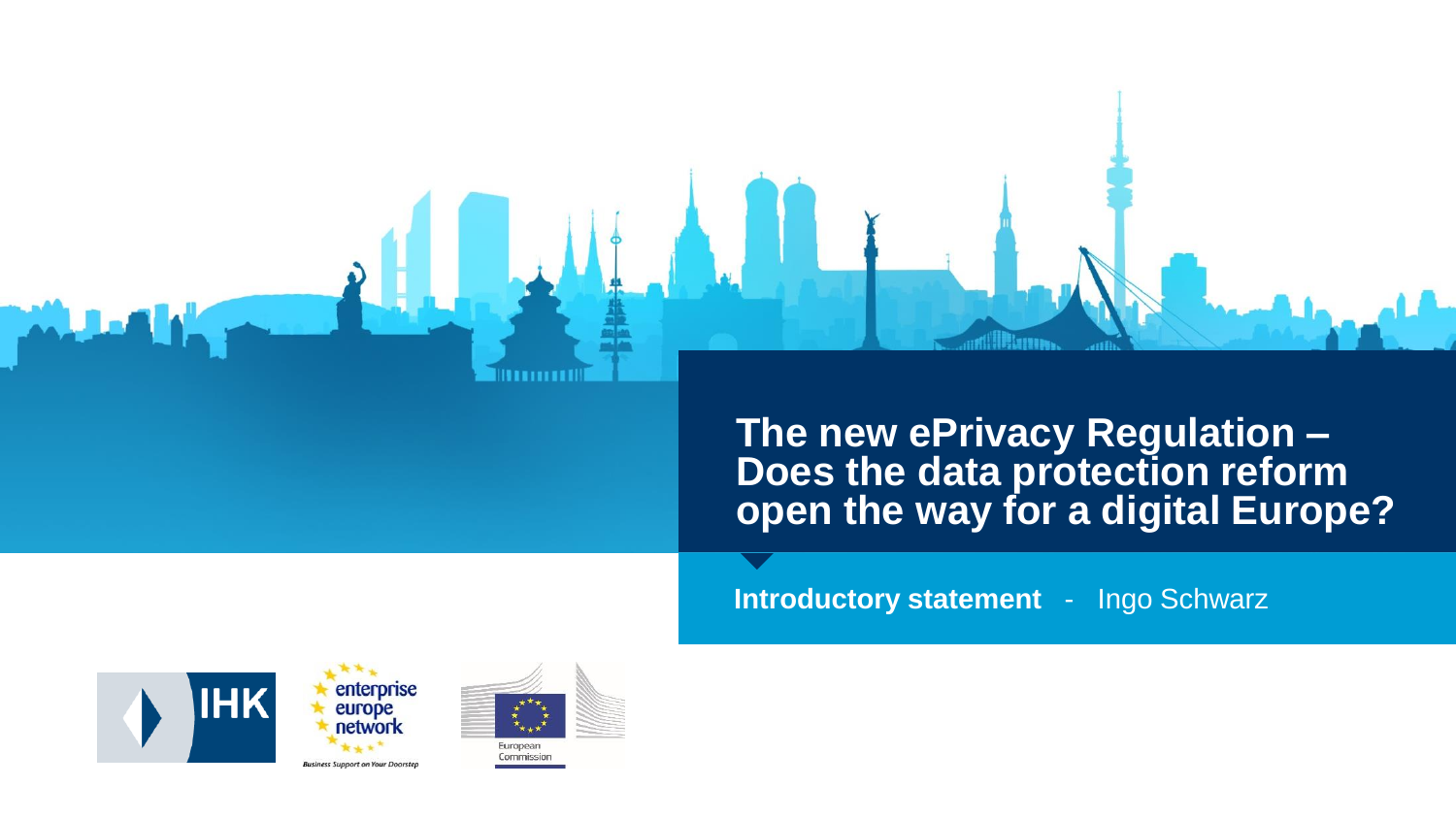**The new ePrivacy Regulation – Does the data protection reform open the way for a digital Europe?** 

**Introductory statement** - Ingo Schwarz





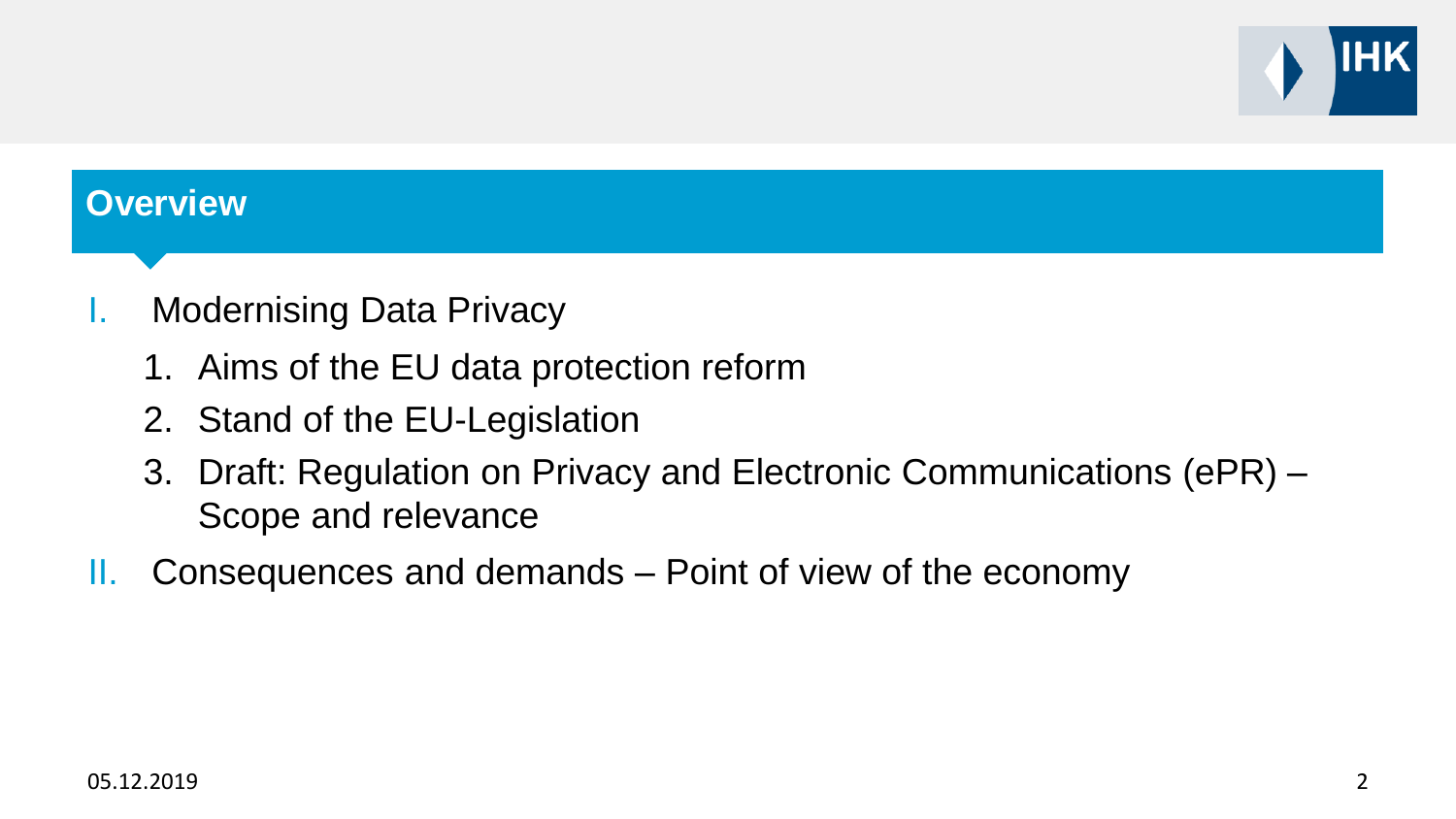

#### **Overview**

- I. Modernising Data Privacy
	- 1. Aims of the EU data protection reform
	- 2. Stand of the EU-Legislation
	- 3. Draft: Regulation on Privacy and Electronic Communications (ePR) Scope and relevance
- II. Consequences and demands Point of view of the economy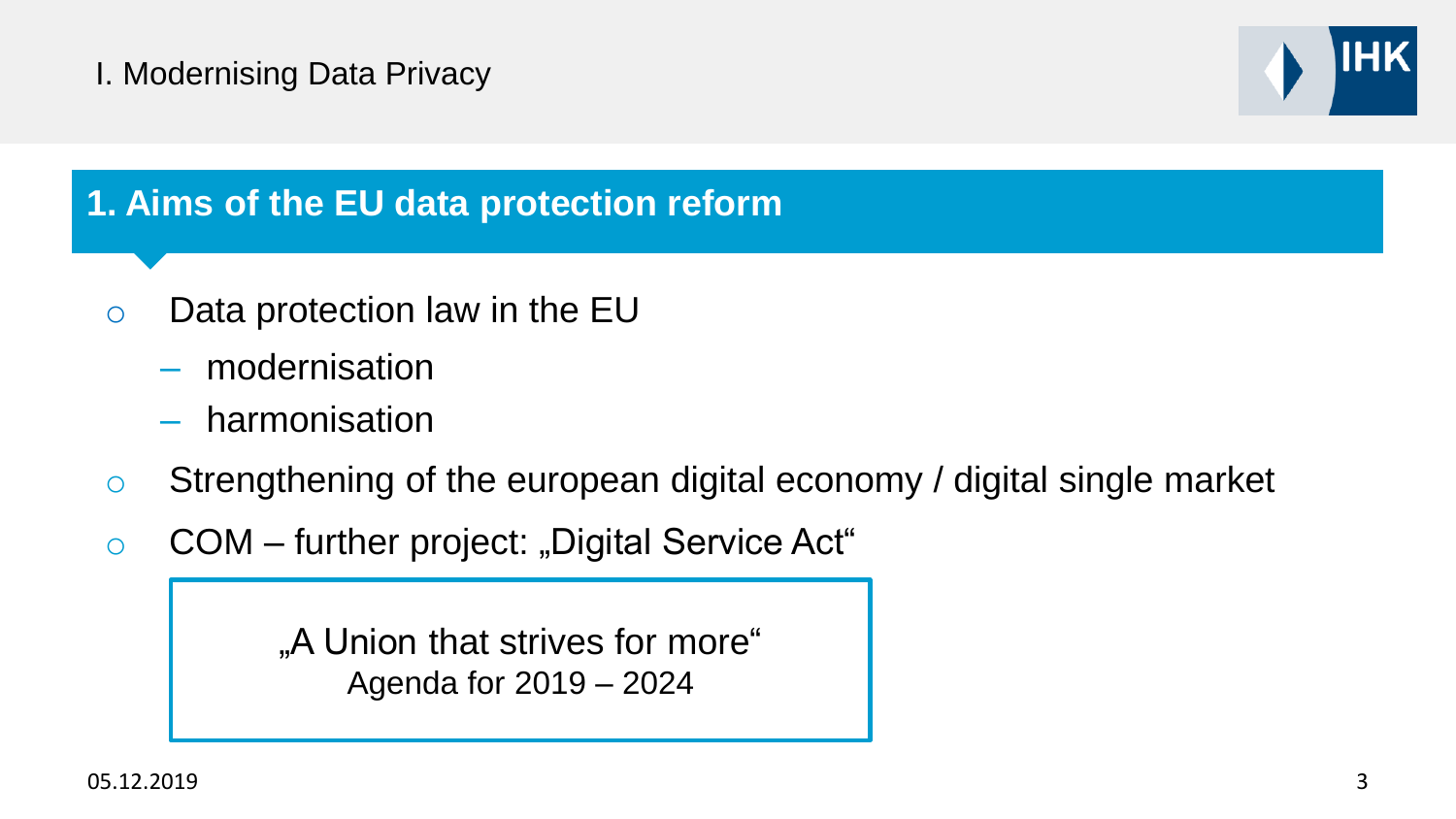

#### **1. Aims of the EU data protection reform**

- o Data protection law in the EU
	- modernisation
	- harmonisation
- o Strengthening of the european digital economy / digital single market
- $\circ$  COM further project: "Digital Service Act"

"A Union that strives for more. Agenda for 2019 – 2024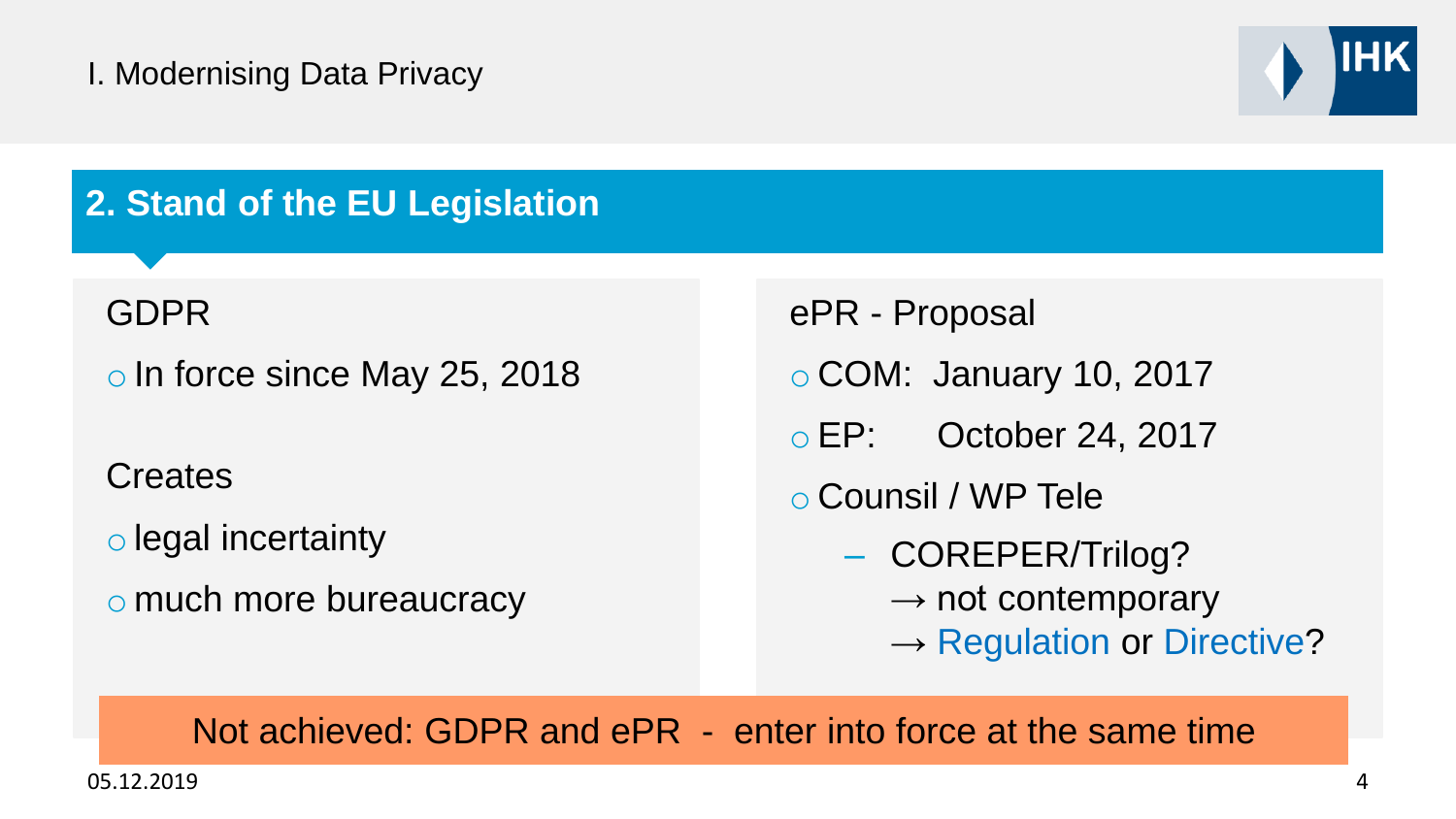

# **2. Stand of the EU Legislation**

GDPR

o In force since May 25, 2018

**Creates** 

o legal incertainty

o much more bureaucracy

ePR - Proposal

o COM: January 10, 2017

o EP: October 24, 2017

o Counsil / WP Tele

- COREPER/Trilog?
	- $\rightarrow$  not contemporary
	- $\rightarrow$  Regulation or Directive?

Not achieved: GDPR and ePR - enter into force at the same time

05.12.2019 4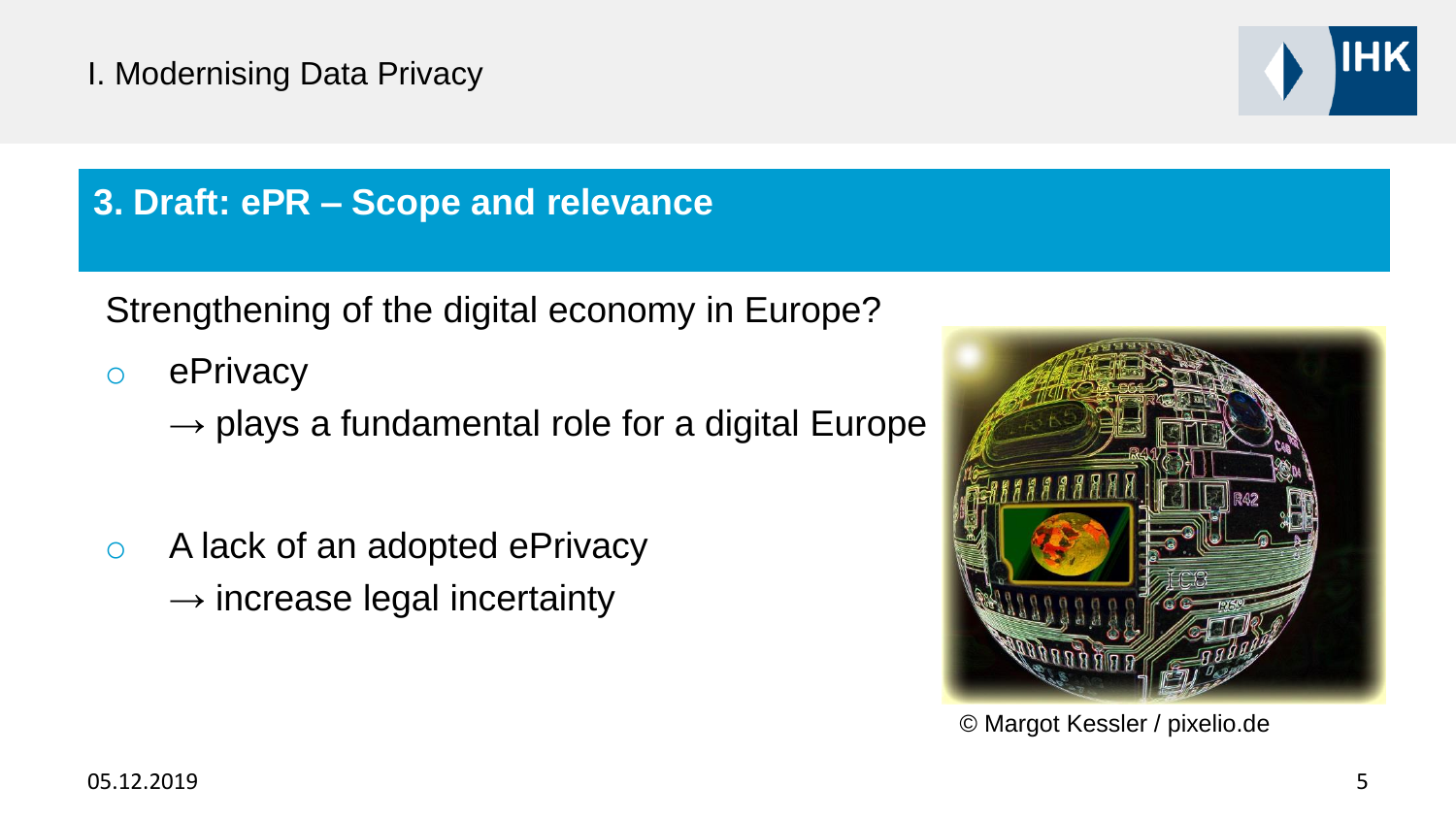

## **3. Draft: ePR – Scope and relevance**

Strengthening of the digital economy in Europe?

- o ePrivacy
	- $\rightarrow$  plays a fundamental role for a digital Europe
- o A lack of an adopted ePrivacy  $\rightarrow$  increase legal incertainty



© Margot Kessler / pixelio.de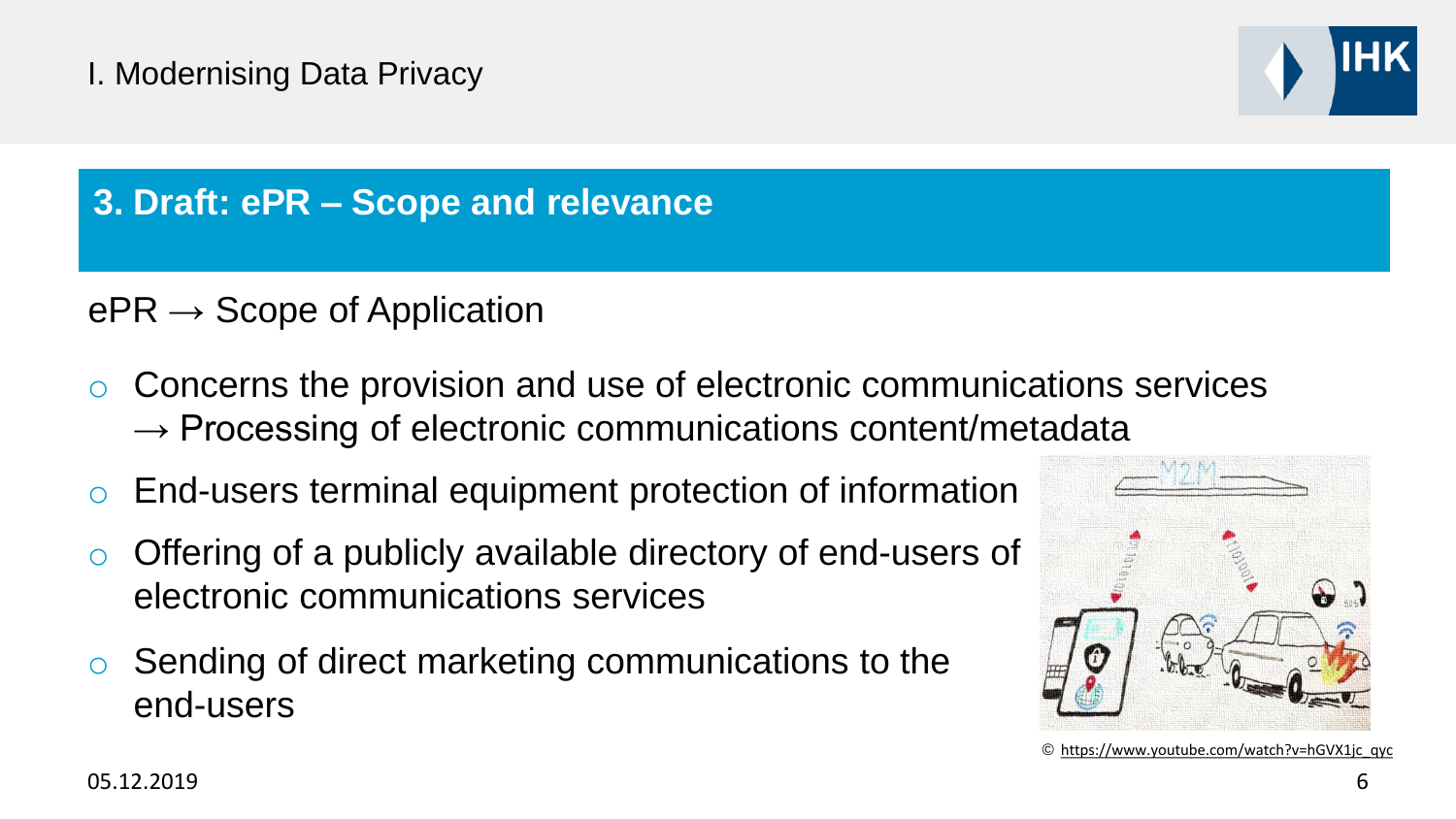

# **3. Draft: ePR – Scope and relevance**

# $ePR \rightarrow$  Scope of Application

- Concerns the provision and use of electronic communications services  $\rightarrow$  Processing of electronic communications content/metadata
- End-users terminal equipment protection of information
- Offering of a publicly available directory of end-users of electronic communications services
- o Sending of direct marketing communications to the end-users



© https://www.youtube.com/watch?v=hGVX1jc\_qyc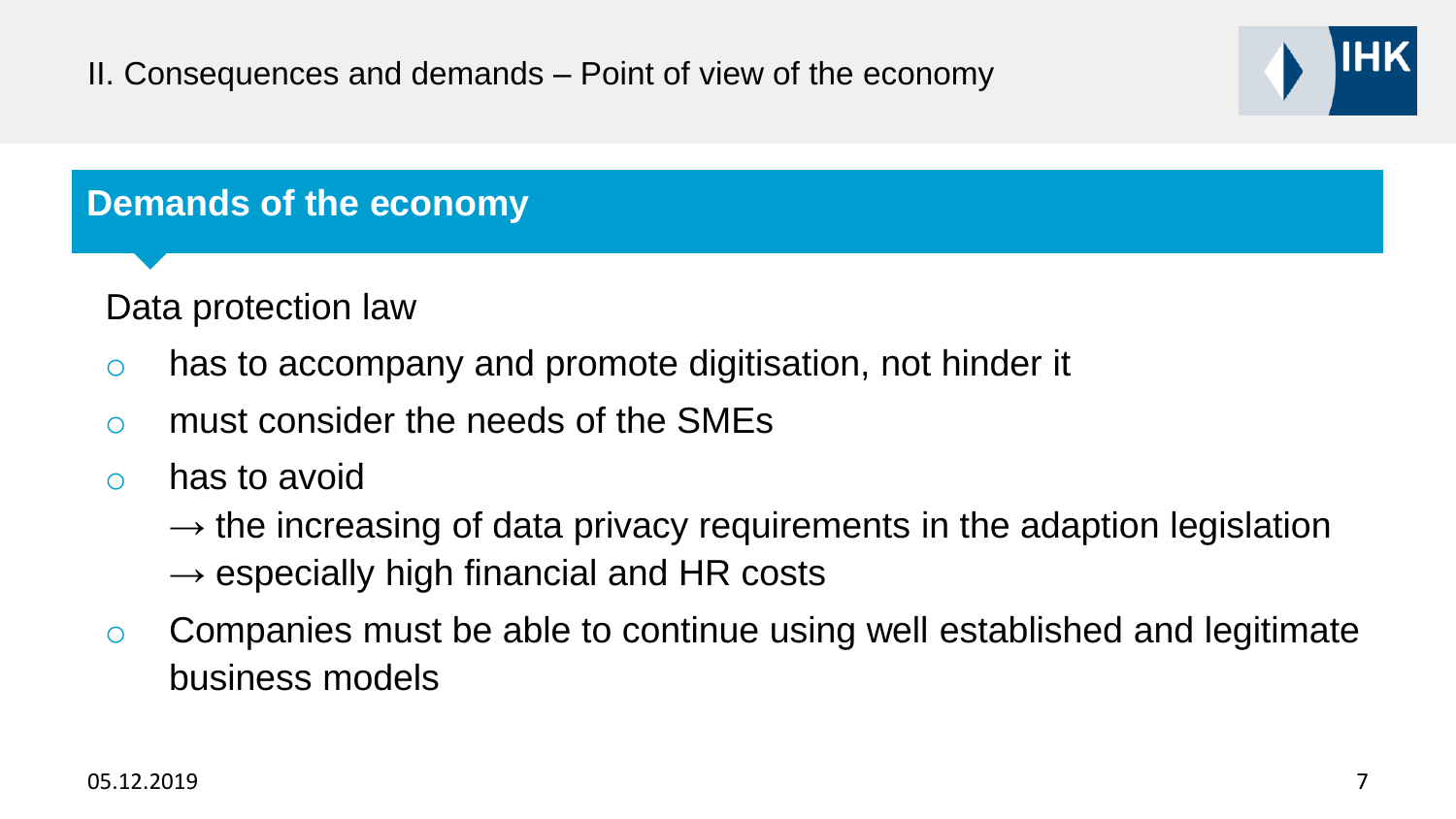

#### **Demands of the economy**

Data protection law

- o has to accompany and promote digitisation, not hinder it
- o must consider the needs of the SMEs
- o has to avoid
	- $\rightarrow$  the increasing of data privacy requirements in the adaption legislation  $\rightarrow$  especially high financial and HR costs
- o Companies must be able to continue using well established and legitimate business models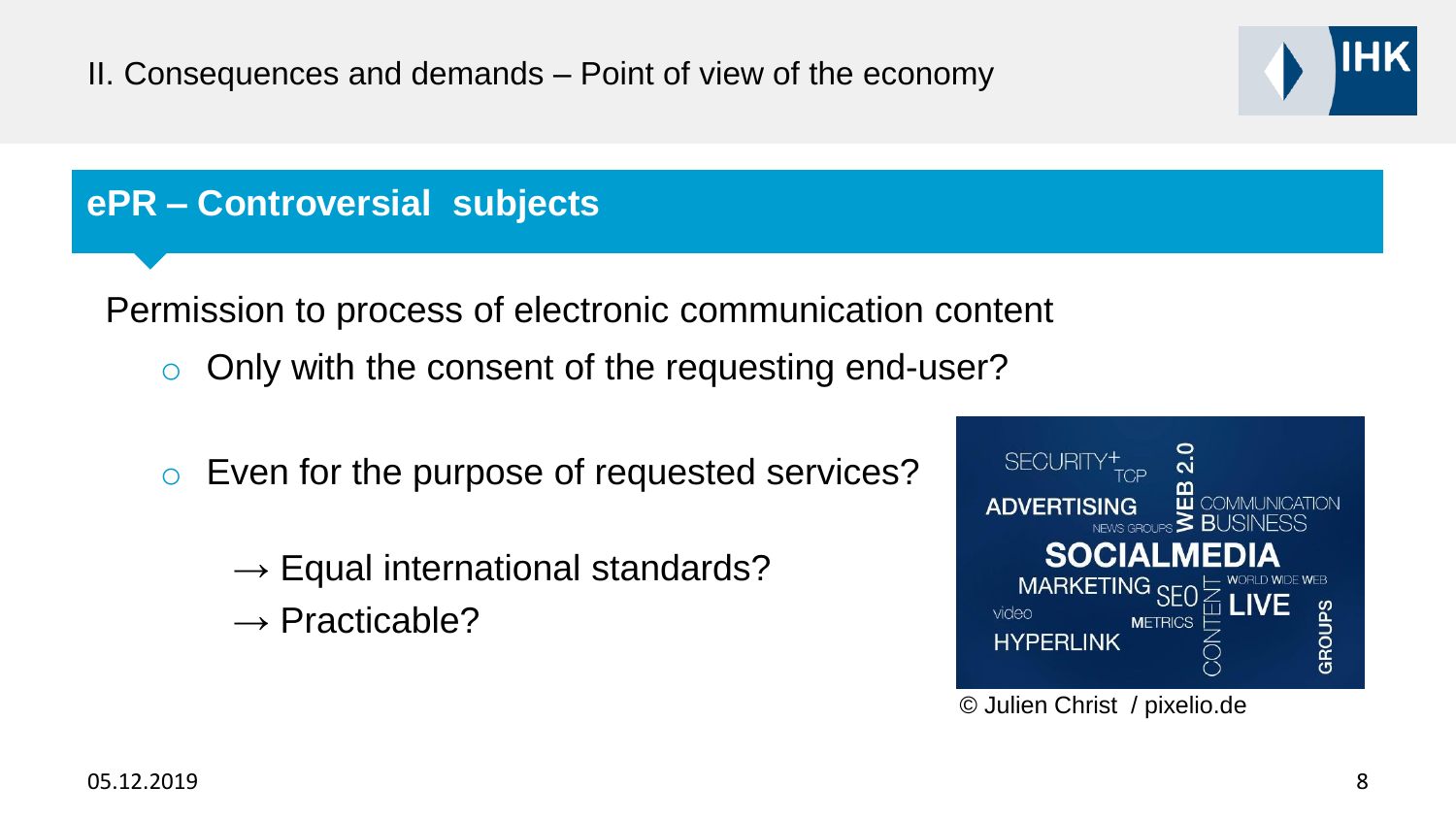#### **ePR – Controversial subjects**

Permission to process of electronic communication content

- Only with the consent of the requesting end-user?
- o Even for the purpose of requested services?
	- $\rightarrow$  Equal international standards?
	- $\rightarrow$  Practicable?



© Julien Christ / pixelio.de

IHK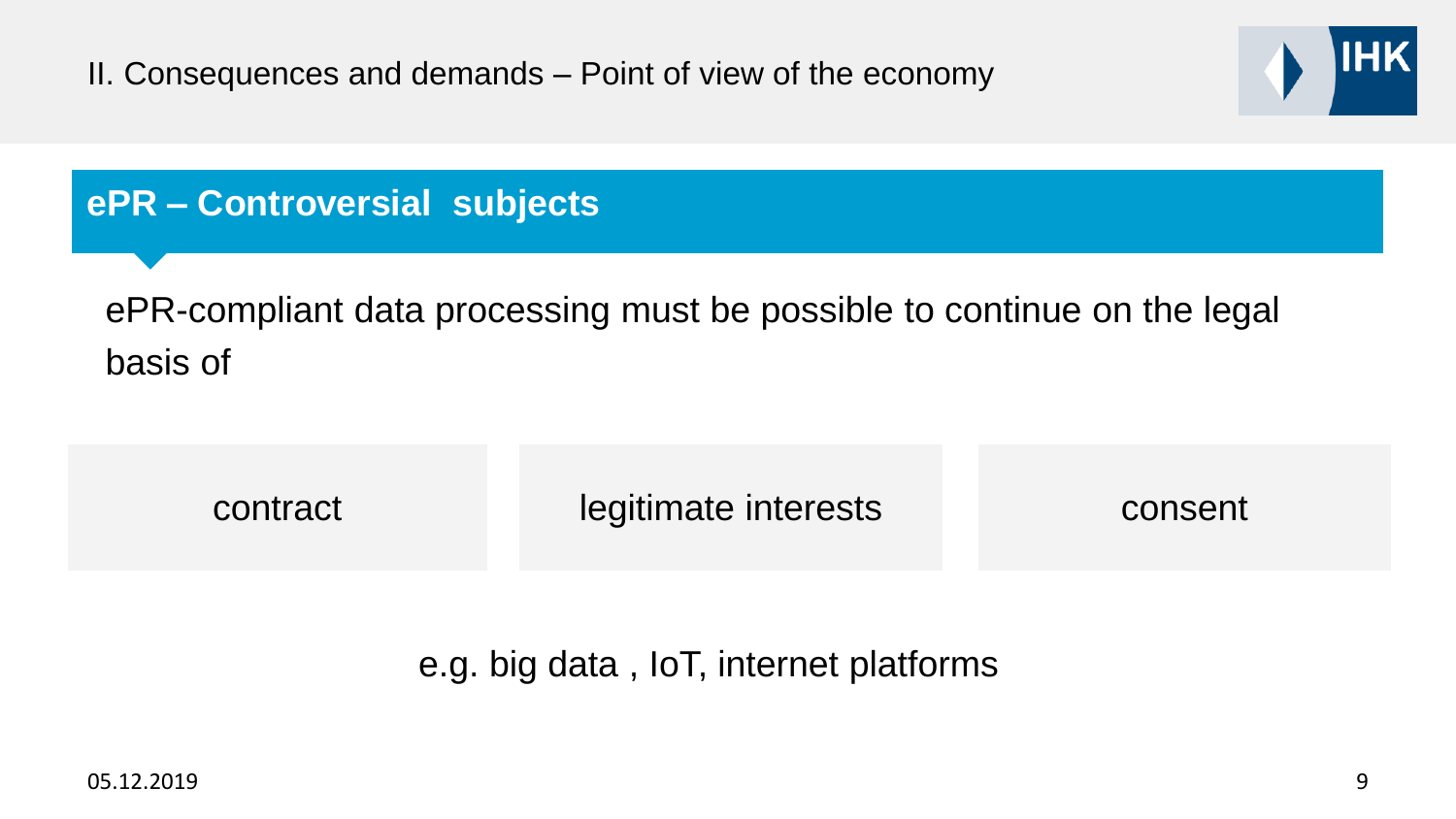

#### **ePR – Controversial subjects**

ePR-compliant data processing must be possible to continue on the legal basis of

| contract | legitimate interests | consent |
|----------|----------------------|---------|
|          |                      |         |

e.g. big data , IoT, internet platforms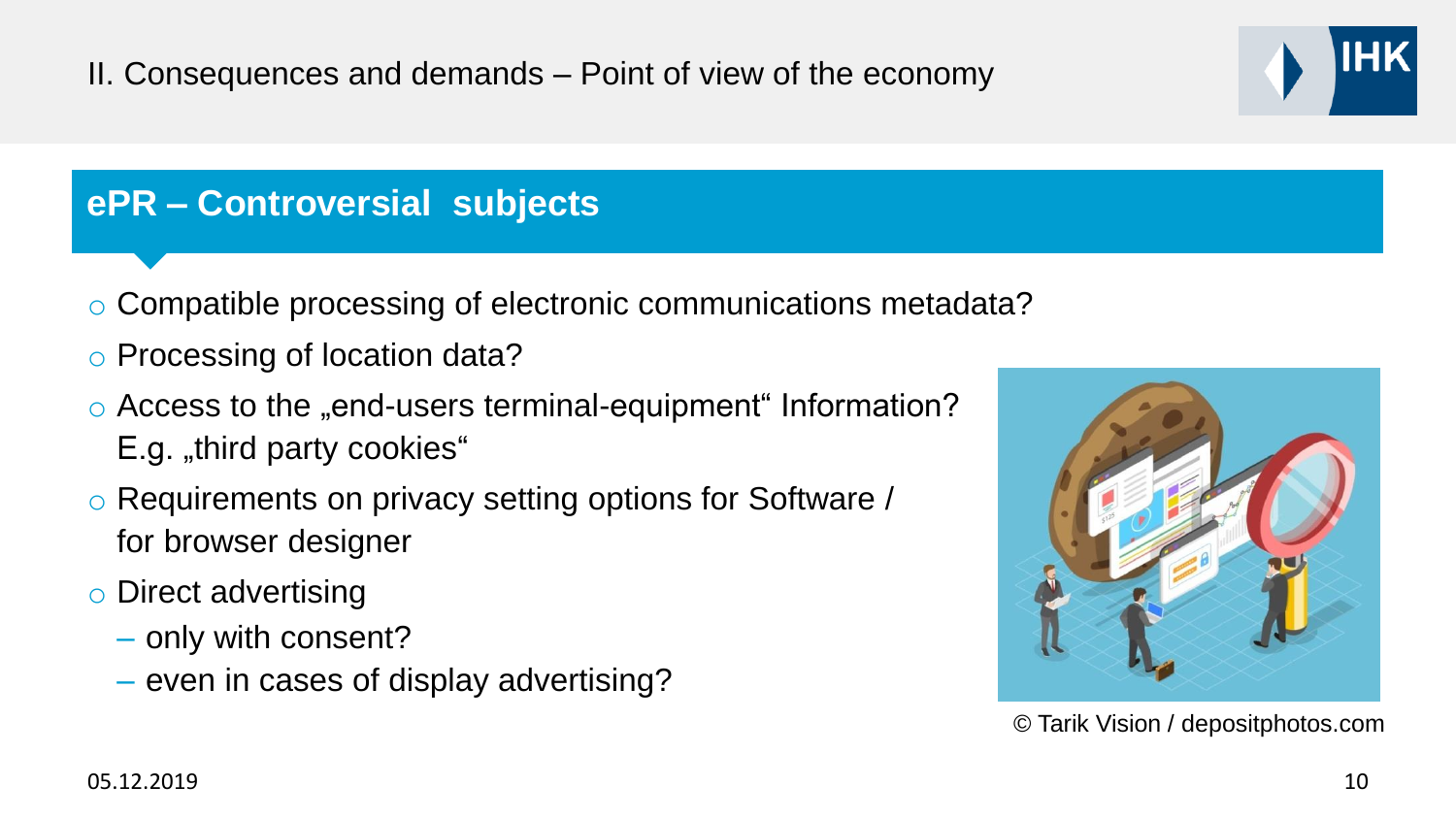## **ePR – Controversial subjects**

- o Compatible processing of electronic communications metadata?
- o Processing of location data?
- $\circ$  Access to the "end-users terminal-equipment" Information?  $E.g.$  "third party cookies"
- o Requirements on privacy setting options for Software / for browser designer
- o Direct advertising
	- only with consent?
	- even in cases of display advertising?



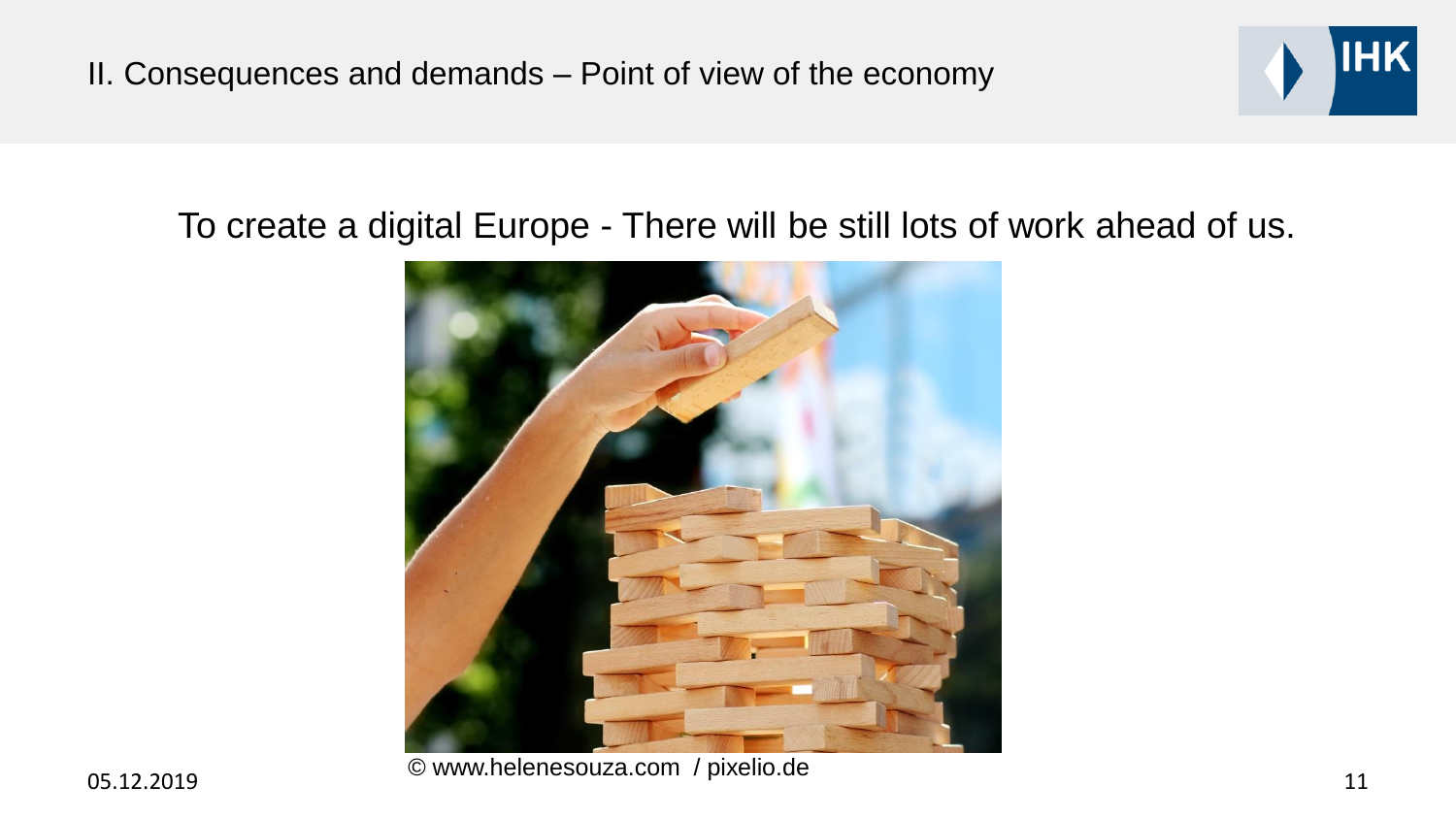

#### To create a digital Europe - There will be still lots of work ahead of us.



05.12.2019 11 © www.helenesouza.com / pixelio.de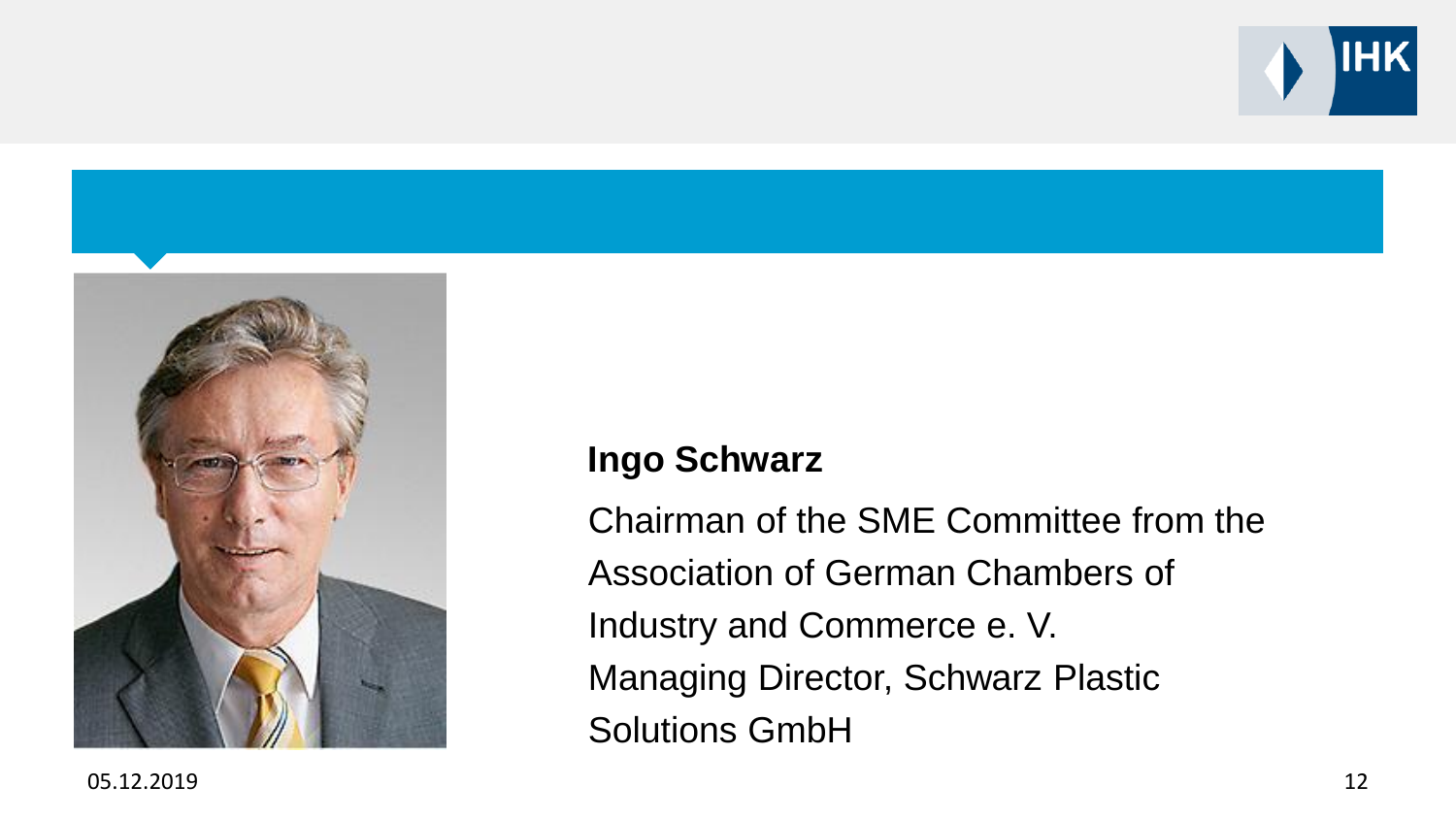



# **Ingo Schwarz**

Chairman of the SME Committee from the Association of German Chambers of Industry and Commerce e. V. Managing Director, Schwarz Plastic Solutions GmbH